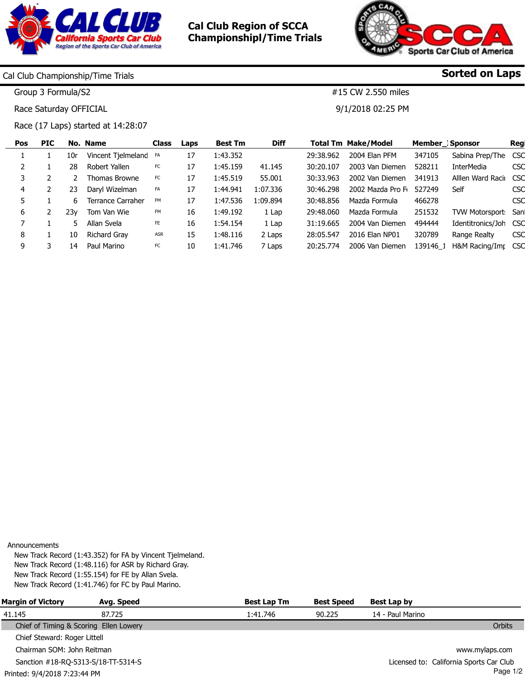

Cal Club Region of SCCA Championshipl/Time Trials



#15 CW 2.550 miles

9/1/2018 02:25 PM

Sorted on Laps

Cal Club Championship/Time Trials

Group 3 Formula/S2

Race Saturday OFFICIAL

Race (17 Laps) started at 14:28:07

| <b>Pos</b> | <b>PIC</b> |     | No. Name           | <b>Class</b> | Laps | <b>Best Tm</b> | <b>Diff</b> |           | <b>Total Tm Make/Model</b> |          | <b>Member</b> Sponsor  | Reg        |
|------------|------------|-----|--------------------|--------------|------|----------------|-------------|-----------|----------------------------|----------|------------------------|------------|
|            |            | 10r | Vincent Tjelmeland | FA           | 17   | 1:43.352       |             | 29:38.962 | 2004 Elan PFM              | 347105   | Sabina Prep/The        | <b>CSC</b> |
|            |            | 28  | Robert Yallen      | FC           | 17   | 1:45.159       | 41.145      | 30:20.107 | 2003 Van Diemen            | 528211   | <b>InterMedia</b>      | CSC        |
|            |            |     | Thomas Browne      | FC           | 17   | 1:45.519       | 55.001      | 30:33.963 | 2002 Van Diemen            | 341913   | Alllen Ward Raciu      | <b>CSC</b> |
| 4          |            | 23  | Daryl Wizelman     | FA           | 17   | 1:44.941       | 1:07.336    | 30:46.298 | 2002 Mazda Pro F           | 527249   | Self                   | <b>CSC</b> |
|            |            | 6.  | Terrance Carraher  | <b>FM</b>    | 17   | 1:47.536       | 1:09.894    | 30:48.856 | Mazda Formula              | 466278   |                        | <b>CSC</b> |
| 6          |            | 23v | Tom Van Wie        | <b>FM</b>    | 16   | 1:49.192       | 1 Lap       | 29:48.060 | Mazda Formula              | 251532   | <b>TVW Motorsport:</b> | Sanl       |
|            |            |     | Allan Svela        | FE           | 16   | 1:54.154       | 1 Lap       | 31:19.665 | 2004 Van Diemen            | 494444   | Identitronics/Joh      | <b>CSC</b> |
| 8          |            | 10  | Richard Grav       | ASR          | 15   | 1:48.116       | 2 Laps      | 28:05.547 | 2016 Elan NP01             | 320789   | Range Realty           | CSC        |
| 9          |            | 14  | Paul Marino        | FC           | 10   | 1:41.746       | 7 Laps      | 20:25.774 | 2006 Van Diemen            | 139146 1 | H&M Racing/Imr CSC     |            |
|            |            |     |                    |              |      |                |             |           |                            |          |                        |            |

Announcements

New Track Record (1:43.352) for FA by Vincent Tjelmeland. New Track Record (1:48.116) for ASR by Richard Gray. New Track Record (1:55.154) for FE by Allan Svela. New Track Record (1:41.746) for FC by Paul Marino.

| <b>Margin of Victory</b>               | Avg. Speed | <b>Best Lap Tm</b> | <b>Best Speed</b> | <b>Best Lap by</b>                      |
|----------------------------------------|------------|--------------------|-------------------|-----------------------------------------|
| 41.145                                 | 87.725     | 1:41.746           | 90.225            | 14 - Paul Marino                        |
| Chief of Timing & Scoring Ellen Lowery |            |                    |                   | <b>Orbits</b>                           |
| Chief Steward: Roger Littell           |            |                    |                   |                                         |
| Chairman SOM: John Reitman             |            |                    |                   | www.mylaps.com                          |
| Sanction #18-RQ-5313-S/18-TT-5314-S    |            |                    |                   | Licensed to: California Sports Car Club |
| Printed: 9/4/2018 7:23:44 PM           |            |                    |                   | Page 1/2                                |